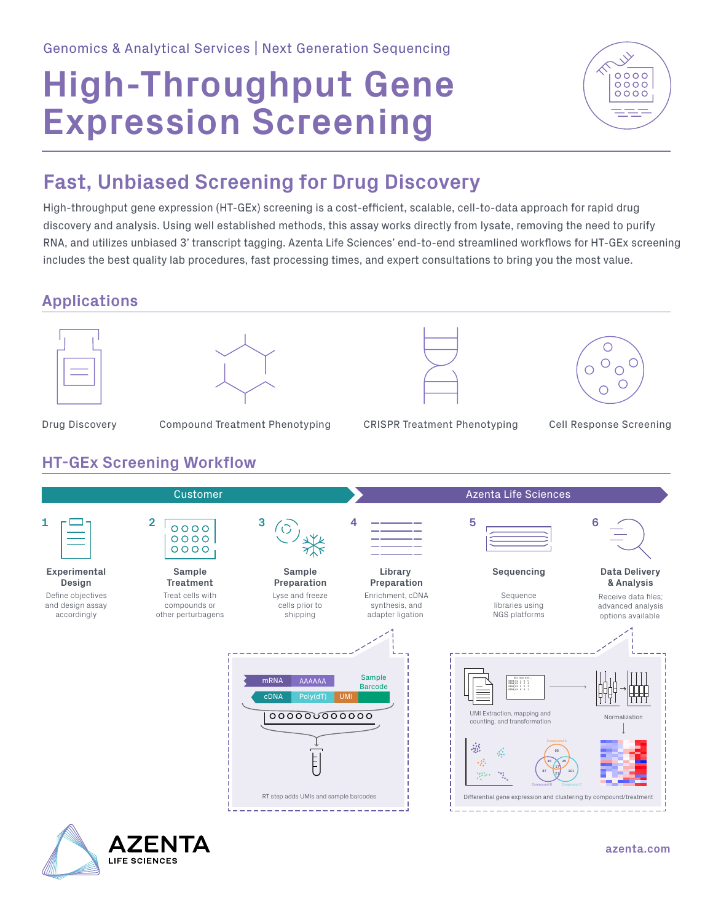# **High-Throughput Gene Expression Screening**



### **Fast, Unbiased Screening for Drug Discovery**

High-throughput gene expression (HT-GEx) screening is a cost-efficient, scalable, cell-to-data approach for rapid drug discovery and analysis. Using well established methods, this assay works directly from lysate, removing the need to purify RNA, and utilizes unbiased 3' transcript tagging. Azenta Life Sciences' end-to-end streamlined workflows for HT-GEx screening includes the best quality lab procedures, fast processing times, and expert consultations to bring you the most value.

#### **Applications**

**ZENTA** 

**LIFE SCIENCES**